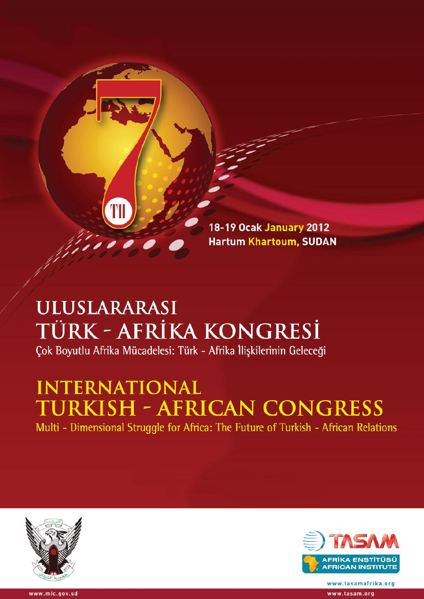

## **ULUSLARARASI** TÜRK - AFRİKA KONGRESİ Çok Boyutlu Afrika Mücadelesi: Türk - Afrika İlişkilerinin Geleceği

# **INTERNATIONAL TURKISH - AFRICAN CONGRESS**

Multi - Dimensional Struggle for Africa: The Future of Turkish - African Relations





www.tasamafrika.org www.tasam.org

www.mic.gov.sd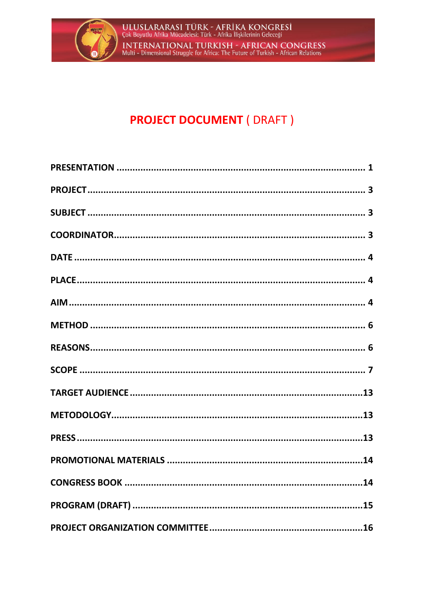

## **PROJECT DOCUMENT ( DRAFT )**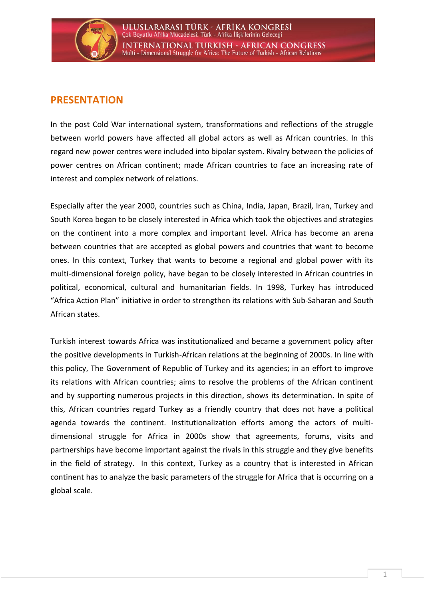

### <span id="page-2-0"></span>**PRESENTATION**

In the post Cold War international system, transformations and reflections of the struggle between world powers have affected all global actors as well as African countries. In this regard new power centres were included into bipolar system. Rivalry between the policies of power centres on African continent; made African countries to face an increasing rate of interest and complex network of relations.

Especially after the year 2000, countries such as China, India, Japan, Brazil, Iran, Turkey and South Korea began to be closely interested in Africa which took the objectives and strategies on the continent into a more complex and important level. Africa has become an arena between countries that are accepted as global powers and countries that want to become ones. In this context, Turkey that wants to become a regional and global power with its multi-dimensional foreign policy, have began to be closely interested in African countries in political, economical, cultural and humanitarian fields. In 1998, Turkey has introduced "Africa Action Plan" initiative in order to strengthen its relations with Sub-Saharan and South African states.

Turkish interest towards Africa was institutionalized and became a government policy after the positive developments in Turkish-African relations at the beginning of 2000s. In line with this policy, The Government of Republic of Turkey and its agencies; in an effort to improve its relations with African countries; aims to resolve the problems of the African continent and by supporting numerous projects in this direction, shows its determination. In spite of this, African countries regard Turkey as a friendly country that does not have a political agenda towards the continent. Institutionalization efforts among the actors of multidimensional struggle for Africa in 2000s show that agreements, forums, visits and partnerships have become important against the rivals in this struggle and they give benefits in the field of strategy. In this context, Turkey as a country that is interested in African continent has to analyze the basic parameters of the struggle for Africa that is occurring on a global scale.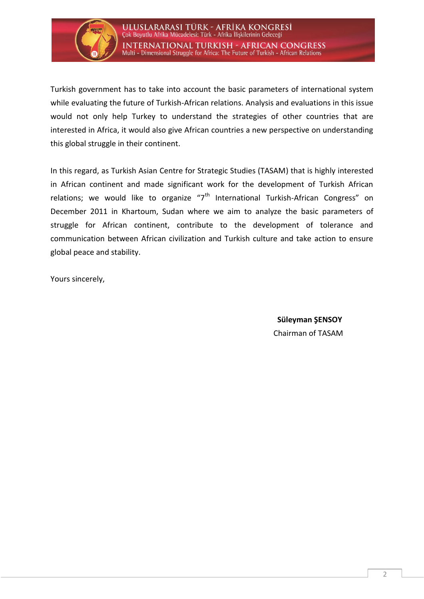

Turkish government has to take into account the basic parameters of international system while evaluating the future of Turkish-African relations. Analysis and evaluations in this issue would not only help Turkey to understand the strategies of other countries that are interested in Africa, it would also give African countries a new perspective on understanding this global struggle in their continent.

In this regard, as Turkish Asian Centre for Strategic Studies (TASAM) that is highly interested in African continent and made significant work for the development of Turkish African relations; we would like to organize " $7<sup>th</sup>$  International Turkish-African Congress" on December 2011 in Khartoum, Sudan where we aim to analyze the basic parameters of struggle for African continent, contribute to the development of tolerance and communication between African civilization and Turkish culture and take action to ensure global peace and stability.

Yours sincerely,

**Süleyman ŞENSOY**  Chairman of TASAM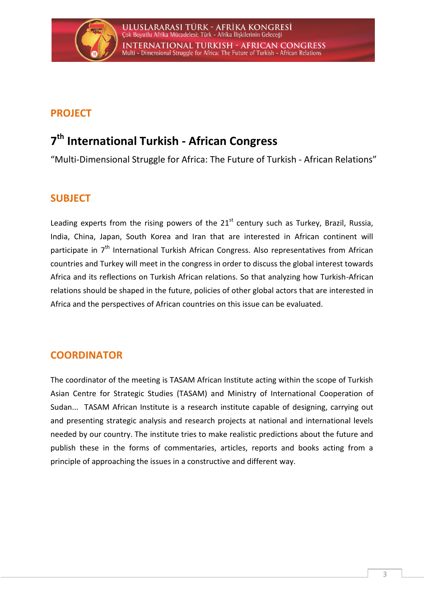

## <span id="page-4-0"></span>**PROJECT**

## **7 th International Turkish - African Congress**

"Multi-Dimensional Struggle for Africa: The Future of Turkish - African Relations"

## <span id="page-4-1"></span>**SUBJECT**

Leading experts from the rising powers of the  $21<sup>st</sup>$  century such as Turkey, Brazil, Russia, India, China, Japan, South Korea and Iran that are interested in African continent will participate in 7<sup>th</sup> International Turkish African Congress. Also representatives from African countries and Turkey will meet in the congress in order to discuss the global interest towards Africa and its reflections on Turkish African relations. So that analyzing how Turkish-African relations should be shaped in the future, policies of other global actors that are interested in Africa and the perspectives of African countries on this issue can be evaluated.

## <span id="page-4-2"></span>**COORDINATOR**

The coordinator of the meeting is TASAM African Institute acting within the scope of Turkish Asian Centre for Strategic Studies (TASAM) and Ministry of International Cooperation of Sudan... TASAM African Institute is a research institute capable of designing, carrying out and presenting strategic analysis and research projects at national and international levels needed by our country. The institute tries to make realistic predictions about the future and publish these in the forms of commentaries, articles, reports and books acting from a principle of approaching the issues in a constructive and different way.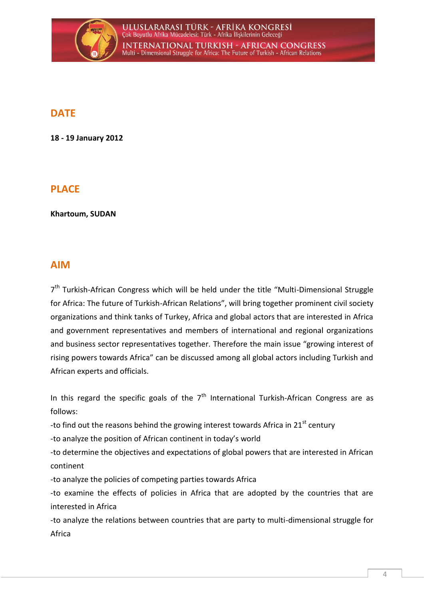

## <span id="page-5-0"></span>**DATE**

**18 - 19 January 2012**

## <span id="page-5-1"></span>**PLACE**

**Khartoum, SUDAN**

## <span id="page-5-2"></span>**AIM**

7<sup>th</sup> Turkish-African Congress which will be held under the title "Multi-Dimensional Struggle for Africa: The future of Turkish-African Relations", will bring together prominent civil society organizations and think tanks of Turkey, Africa and global actors that are interested in Africa and government representatives and members of international and regional organizations and business sector representatives together. Therefore the main issue "growing interest of rising powers towards Africa" can be discussed among all global actors including Turkish and African experts and officials.

In this regard the specific goals of the  $7<sup>th</sup>$  International Turkish-African Congress are as follows:

-to find out the reasons behind the growing interest towards Africa in 21 $^{\rm st}$  century

-to analyze the position of African continent in today's world

-to determine the objectives and expectations of global powers that are interested in African continent

-to analyze the policies of competing parties towards Africa

-to examine the effects of policies in Africa that are adopted by the countries that are interested in Africa

-to analyze the relations between countries that are party to multi-dimensional struggle for Africa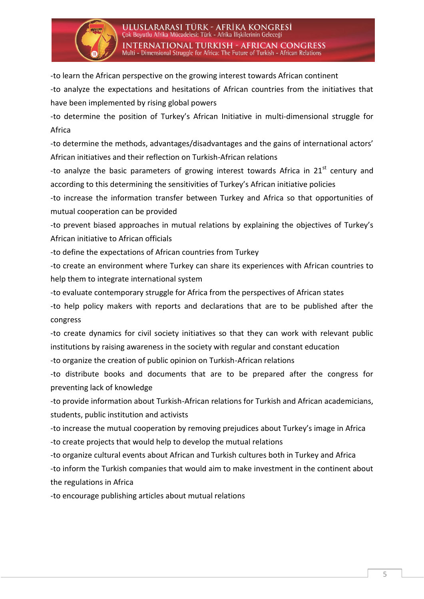

-to learn the African perspective on the growing interest towards African continent

-to analyze the expectations and hesitations of African countries from the initiatives that have been implemented by rising global powers

-to determine the position of Turkey's African Initiative in multi-dimensional struggle for Africa

-to determine the methods, advantages/disadvantages and the gains of international actors' African initiatives and their reflection on Turkish-African relations

-to analyze the basic parameters of growing interest towards Africa in  $21<sup>st</sup>$  century and according to this determining the sensitivities of Turkey's African initiative policies

-to increase the information transfer between Turkey and Africa so that opportunities of mutual cooperation can be provided

-to prevent biased approaches in mutual relations by explaining the objectives of Turkey's African initiative to African officials

-to define the expectations of African countries from Turkey

-to create an environment where Turkey can share its experiences with African countries to help them to integrate international system

-to evaluate contemporary struggle for Africa from the perspectives of African states

-to help policy makers with reports and declarations that are to be published after the congress

-to create dynamics for civil society initiatives so that they can work with relevant public institutions by raising awareness in the society with regular and constant education

-to organize the creation of public opinion on Turkish-African relations

-to distribute books and documents that are to be prepared after the congress for preventing lack of knowledge

-to provide information about Turkish-African relations for Turkish and African academicians, students, public institution and activists

-to increase the mutual cooperation by removing prejudices about Turkey's image in Africa -to create projects that would help to develop the mutual relations

-to organize cultural events about African and Turkish cultures both in Turkey and Africa -to inform the Turkish companies that would aim to make investment in the continent about the regulations in Africa

-to encourage publishing articles about mutual relations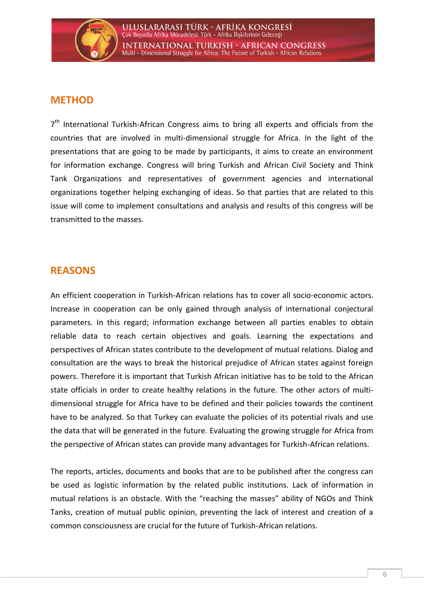

## <span id="page-7-0"></span>**METHOD**

7<sup>th</sup> International Turkish-African Congress aims to bring all experts and officials from the countries that are involved in multi-dimensional struggle for Africa. In the light of the presentations that are going to be made by participants, it aims to create an environment for information exchange. Congress will bring Turkish and African Civil Society and Think Tank Organizations and representatives of government agencies and international organizations together helping exchanging of ideas. So that parties that are related to this issue will come to implement consultations and analysis and results of this congress will be transmitted to the masses.

### <span id="page-7-1"></span>**REASONS**

An efficient cooperation in Turkish-African relations has to cover all socio-economic actors. Increase in cooperation can be only gained through analysis of international conjectural parameters. In this regard; information exchange between all parties enables to obtain reliable data to reach certain objectives and goals. Learning the expectations and perspectives of African states contribute to the development of mutual relations. Dialog and consultation are the ways to break the historical prejudice of African states against foreign powers. Therefore it is important that Turkish African initiative has to be told to the African state officials in order to create healthy relations in the future. The other actors of multidimensional struggle for Africa have to be defined and their policies towards the continent have to be analyzed. So that Turkey can evaluate the policies of its potential rivals and use the data that will be generated in the future. Evaluating the growing struggle for Africa from the perspective of African states can provide many advantages for Turkish-African relations.

The reports, articles, documents and books that are to be published after the congress can be used as logistic information by the related public institutions. Lack of information in mutual relations is an obstacle. With the "reaching the masses" ability of NGOs and Think Tanks, creation of mutual public opinion, preventing the lack of interest and creation of a common consciousness are crucial for the future of Turkish-African relations.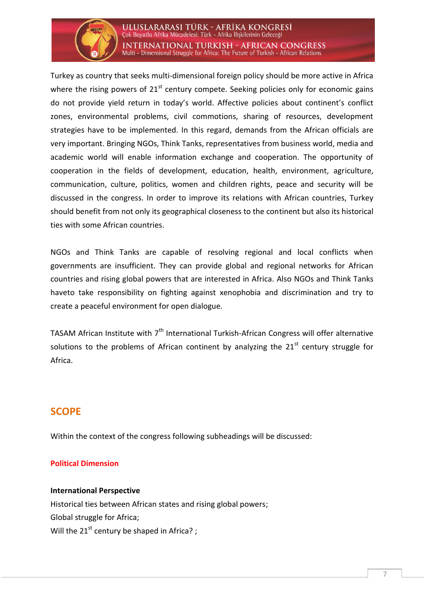

ULUSLARARASI TÜRK - AFRİKA KONGRESİ Çok Boyutlu Afrika Mücadelesi: Türk - Afrika İlişkilerinin Geleceği **INTERNATIONAL TURKISH - AFRICAN CONGRESS** Multi - Dimensional Struggle for Africa: The Future of Turkish - African Relations

Turkey as country that seeks multi-dimensional foreign policy should be more active in Africa where the rising powers of  $21<sup>st</sup>$  century compete. Seeking policies only for economic gains do not provide yield return in today's world. Affective policies about continent's conflict zones, environmental problems, civil commotions, sharing of resources, development strategies have to be implemented. In this regard, demands from the African officials are very important. Bringing NGOs, Think Tanks, representatives from business world, media and academic world will enable information exchange and cooperation. The opportunity of cooperation in the fields of development, education, health, environment, agriculture, communication, culture, politics, women and children rights, peace and security will be discussed in the congress. In order to improve its relations with African countries, Turkey should benefit from not only its geographical closeness to the continent but also its historical ties with some African countries.

NGOs and Think Tanks are capable of resolving regional and local conflicts when governments are insufficient. They can provide global and regional networks for African countries and rising global powers that are interested in Africa. Also NGOs and Think Tanks haveto take responsibility on fighting against xenophobia and discrimination and try to create a peaceful environment for open dialogue.

TASAM African Institute with  $7<sup>th</sup>$  International Turkish-African Congress will offer alternative solutions to the problems of African continent by analyzing the  $21<sup>st</sup>$  century struggle for Africa.

## <span id="page-8-0"></span>**SCOPE**

Within the context of the congress following subheadings will be discussed:

#### **Political Dimension**

#### **International Perspective**

Historical ties between African states and rising global powers; Global struggle for Africa; Will the  $21^{st}$  century be shaped in Africa? ;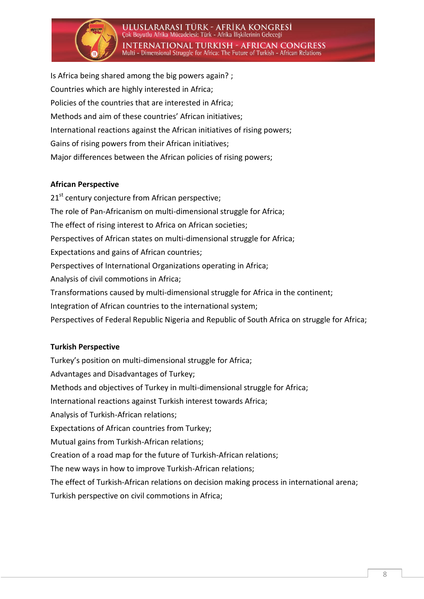

ULUSLARARASI TÜRK - AFRİKA KONGRESİ Çok Boyutlu Afrika Mücadelesi: Türk - Afrika İlişkilerinin Geleceği **INTERNATIONAL TURKISH - AFRICAN CONGRESS** Multi - Dimensional Struggle for Africa: The Future of Turkish - African Relations

Is Africa being shared among the big powers again? ; Countries which are highly interested in Africa; Policies of the countries that are interested in Africa; Methods and aim of these countries' African initiatives; International reactions against the African initiatives of rising powers; Gains of rising powers from their African initiatives; Major differences between the African policies of rising powers;

#### **African Perspective**

21<sup>st</sup> century conjecture from African perspective; The role of Pan-Africanism on multi-dimensional struggle for Africa; The effect of rising interest to Africa on African societies; Perspectives of African states on multi-dimensional struggle for Africa; Expectations and gains of African countries; Perspectives of International Organizations operating in Africa; Analysis of civil commotions in Africa; Transformations caused by multi-dimensional struggle for Africa in the continent; Integration of African countries to the international system; Perspectives of Federal Republic Nigeria and Republic of South Africa on struggle for Africa;

#### **Turkish Perspective**

Turkey's position on multi-dimensional struggle for Africa; Advantages and Disadvantages of Turkey; Methods and objectives of Turkey in multi-dimensional struggle for Africa; International reactions against Turkish interest towards Africa; Analysis of Turkish-African relations; Expectations of African countries from Turkey; Mutual gains from Turkish-African relations; Creation of a road map for the future of Turkish-African relations; The new ways in how to improve Turkish-African relations; The effect of Turkish-African relations on decision making process in international arena; Turkish perspective on civil commotions in Africa;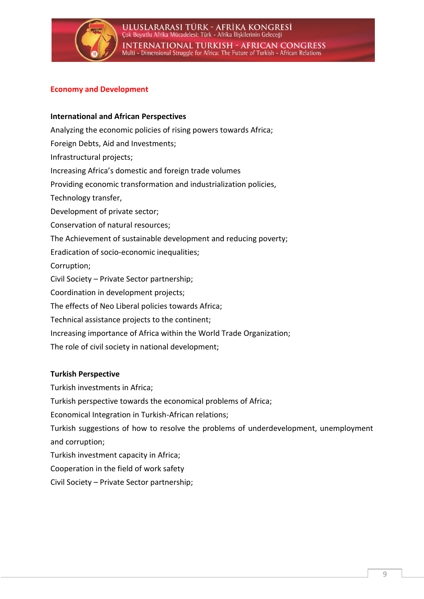

#### **Economy and Development**

#### **International and African Perspectives**

Analyzing the economic policies of rising powers towards Africa; Foreign Debts, Aid and Investments; Infrastructural projects; Increasing Africa's domestic and foreign trade volumes Providing economic transformation and industrialization policies, Technology transfer, Development of private sector; Conservation of natural resources; The Achievement of sustainable development and reducing poverty; Eradication of socio-economic inequalities; Corruption; Civil Society – Private Sector partnership; Coordination in development projects; The effects of Neo Liberal policies towards Africa; Technical assistance projects to the continent; Increasing importance of Africa within the World Trade Organization; The role of civil society in national development;

#### **Turkish Perspective**

Turkish investments in Africa;

Turkish perspective towards the economical problems of Africa;

Economical Integration in Turkish-African relations;

Turkish suggestions of how to resolve the problems of underdevelopment, unemployment and corruption;

Turkish investment capacity in Africa;

Cooperation in the field of work safety

Civil Society – Private Sector partnership;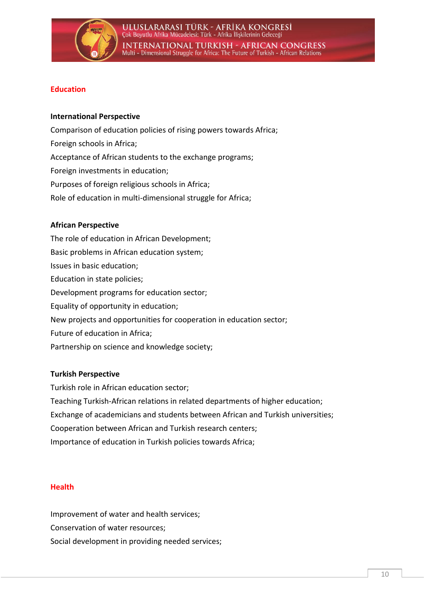

#### **Education**

#### **International Perspective**

Comparison of education policies of rising powers towards Africa; Foreign schools in Africa; Acceptance of African students to the exchange programs; Foreign investments in education; Purposes of foreign religious schools in Africa; Role of education in multi-dimensional struggle for Africa;

#### **African Perspective**

The role of education in African Development; Basic problems in African education system; Issues in basic education; Education in state policies; Development programs for education sector; Equality of opportunity in education; New projects and opportunities for cooperation in education sector; Future of education in Africa; Partnership on science and knowledge society;

#### **Turkish Perspective**

Turkish role in African education sector; Teaching Turkish-African relations in related departments of higher education; Exchange of academicians and students between African and Turkish universities; Cooperation between African and Turkish research centers; Importance of education in Turkish policies towards Africa;

#### **Health**

Improvement of water and health services; Conservation of water resources; Social development in providing needed services;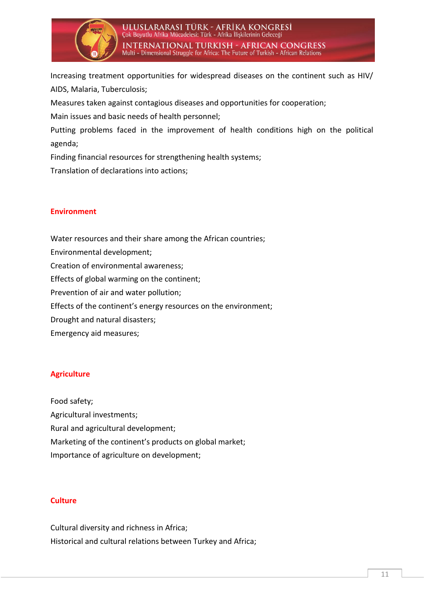

Increasing treatment opportunities for widespread diseases on the continent such as HIV/ AIDS, Malaria, Tuberculosis;

Measures taken against contagious diseases and opportunities for cooperation;

Main issues and basic needs of health personnel;

Putting problems faced in the improvement of health conditions high on the political agenda;

Finding financial resources for strengthening health systems;

Translation of declarations into actions;

#### **Environment**

Water resources and their share among the African countries; Environmental development; Creation of environmental awareness; Effects of global warming on the continent; Prevention of air and water pollution; Effects of the continent's energy resources on the environment; Drought and natural disasters; Emergency aid measures;

#### **Agriculture**

Food safety; Agricultural investments; Rural and agricultural development; Marketing of the continent's products on global market; Importance of agriculture on development;

#### **Culture**

Cultural diversity and richness in Africa; Historical and cultural relations between Turkey and Africa;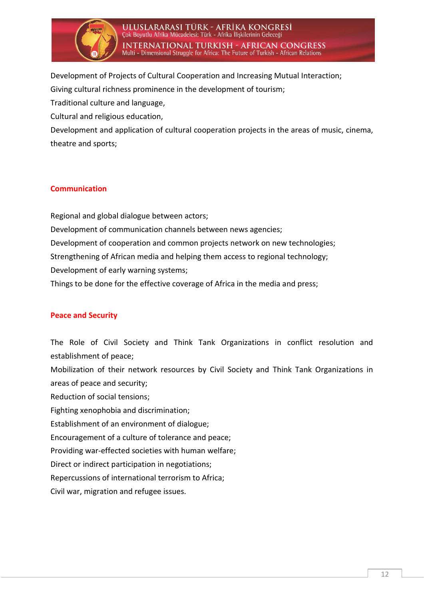

Development of Projects of Cultural Cooperation and Increasing Mutual Interaction; Giving cultural richness prominence in the development of tourism; Traditional culture and language, Cultural and religious education,

Development and application of cultural cooperation projects in the areas of music, cinema, theatre and sports;

#### **Communication**

Regional and global dialogue between actors; Development of communication channels between news agencies; Development of cooperation and common projects network on new technologies; Strengthening of African media and helping them access to regional technology; Development of early warning systems; Things to be done for the effective coverage of Africa in the media and press;

#### **Peace and Security**

The Role of Civil Society and Think Tank Organizations in conflict resolution and establishment of peace;

Mobilization of their network resources by Civil Society and Think Tank Organizations in areas of peace and security;

Reduction of social tensions;

Fighting xenophobia and discrimination;

Establishment of an environment of dialogue;

Encouragement of a culture of tolerance and peace;

Providing war-effected societies with human welfare;

Direct or indirect participation in negotiations;

Repercussions of international terrorism to Africa;

Civil war, migration and refugee issues.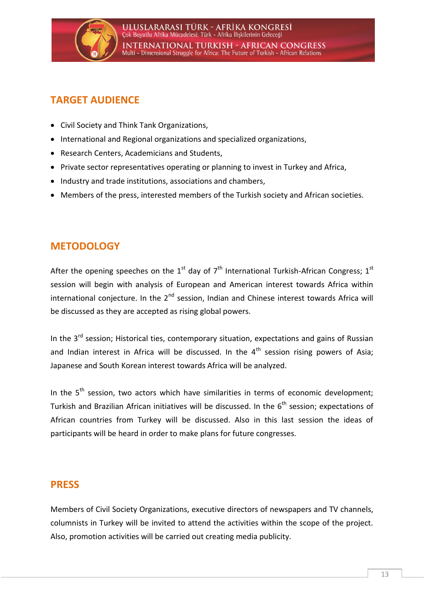

## <span id="page-14-0"></span>**TARGET AUDIENCE**

- Civil Society and Think Tank Organizations,
- International and Regional organizations and specialized organizations,
- Research Centers, Academicians and Students,
- Private sector representatives operating or planning to invest in Turkey and Africa,
- Industry and trade institutions, associations and chambers,
- Members of the press, interested members of the Turkish society and African societies.

## <span id="page-14-1"></span>**METODOLOGY**

After the opening speeches on the  $1<sup>st</sup>$  day of  $7<sup>th</sup>$  International Turkish-African Congress;  $1<sup>st</sup>$ session will begin with analysis of European and American interest towards Africa within international conjecture. In the  $2<sup>nd</sup>$  session, Indian and Chinese interest towards Africa will be discussed as they are accepted as rising global powers.

In the  $3<sup>rd</sup>$  session; Historical ties, contemporary situation, expectations and gains of Russian and Indian interest in Africa will be discussed. In the  $4<sup>th</sup>$  session rising powers of Asia; Japanese and South Korean interest towards Africa will be analyzed.

In the  $5<sup>th</sup>$  session, two actors which have similarities in terms of economic development; Turkish and Brazilian African initiatives will be discussed. In the  $6<sup>th</sup>$  session; expectations of African countries from Turkey will be discussed. Also in this last session the ideas of participants will be heard in order to make plans for future congresses.

### <span id="page-14-2"></span>**PRESS**

Members of Civil Society Organizations, executive directors of newspapers and TV channels, columnists in Turkey will be invited to attend the activities within the scope of the project. Also, promotion activities will be carried out creating media publicity.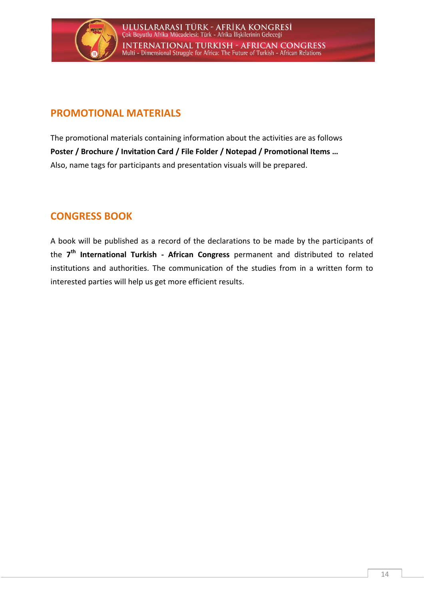

## <span id="page-15-0"></span>**PROMOTIONAL MATERIALS**

The promotional materials containing information about the activities are as follows **Poster / Brochure / Invitation Card / File Folder / Notepad / Promotional Items …** Also, name tags for participants and presentation visuals will be prepared.

## <span id="page-15-1"></span>**CONGRESS BOOK**

A book will be published as a record of the declarations to be made by the participants of the **7 th International Turkish - African Congress** permanent and distributed to related institutions and authorities. The communication of the studies from in a written form to interested parties will help us get more efficient results.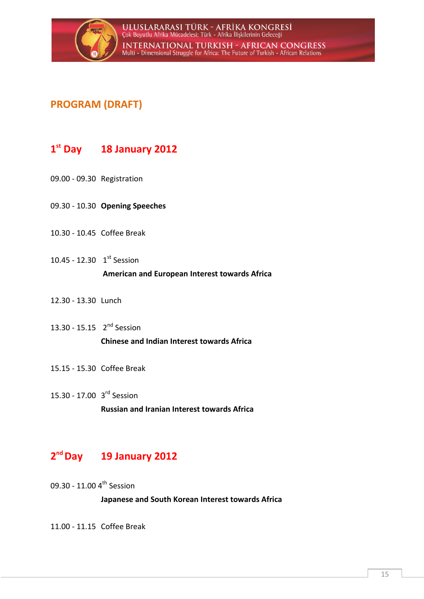

## <span id="page-16-0"></span>**PROGRAM (DRAFT)**

## **1 st Day 18 January 2012**

- 09.00 09.30 Registration
- 09.30 10.30 **Opening Speeches**
- 10.30 10.45 Coffee Break
- 10.45 12.30  $1^{st}$  Session **American and European Interest towards Africa**
- 12.30 13.30 Lunch
- 13.30 15.15 2<sup>nd</sup> Session **Chinese and Indian Interest towards Africa**
- 15.15 15.30 Coffee Break
- 15.30 17.00 3<sup>rd</sup> Session **Russian and Iranian Interest towards Africa**

## **2 nd Day 19 January 2012**

09.30 - 11.00 4<sup>th</sup> Session

**Japanese and South Korean Interest towards Africa** 

11.00 - 11.15 Coffee Break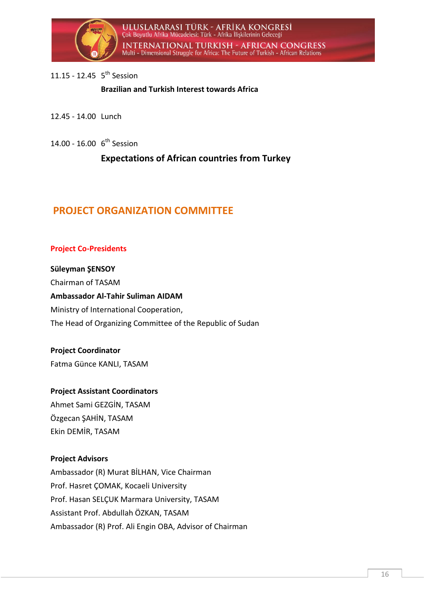

#### 11.15 - 12.45 5<sup>th</sup> Session

**Brazilian and Turkish Interest towards Africa** 

- 12.45 14.00 Lunch
- 14.00 16.00 6<sup>th</sup> Session

**Expectations of African countries from Turkey** 

## <span id="page-17-0"></span>**PROJECT ORGANIZATION COMMITTEE**

#### **Project Co-Presidents**

**Süleyman ŞENSOY** Chairman of TASAM **Ambassador Al-Tahir Suliman AIDAM** Ministry of International Cooperation, The Head of Organizing Committee of the Republic of Sudan

**Project Coordinator** Fatma Günce KANLI, TASAM

#### **Project Assistant Coordinators**

Ahmet Sami GEZGİN, TASAM Özgecan ŞAHİN, TASAM Ekin DEMİR, TASAM

#### **Project Advisors**

Ambassador (R) Murat BİLHAN, Vice Chairman Prof. Hasret ÇOMAK, Kocaeli University Prof. Hasan SELÇUK Marmara University, TASAM Assistant Prof. Abdullah ÖZKAN, TASAM Ambassador (R) Prof. Ali Engin OBA, Advisor of Chairman